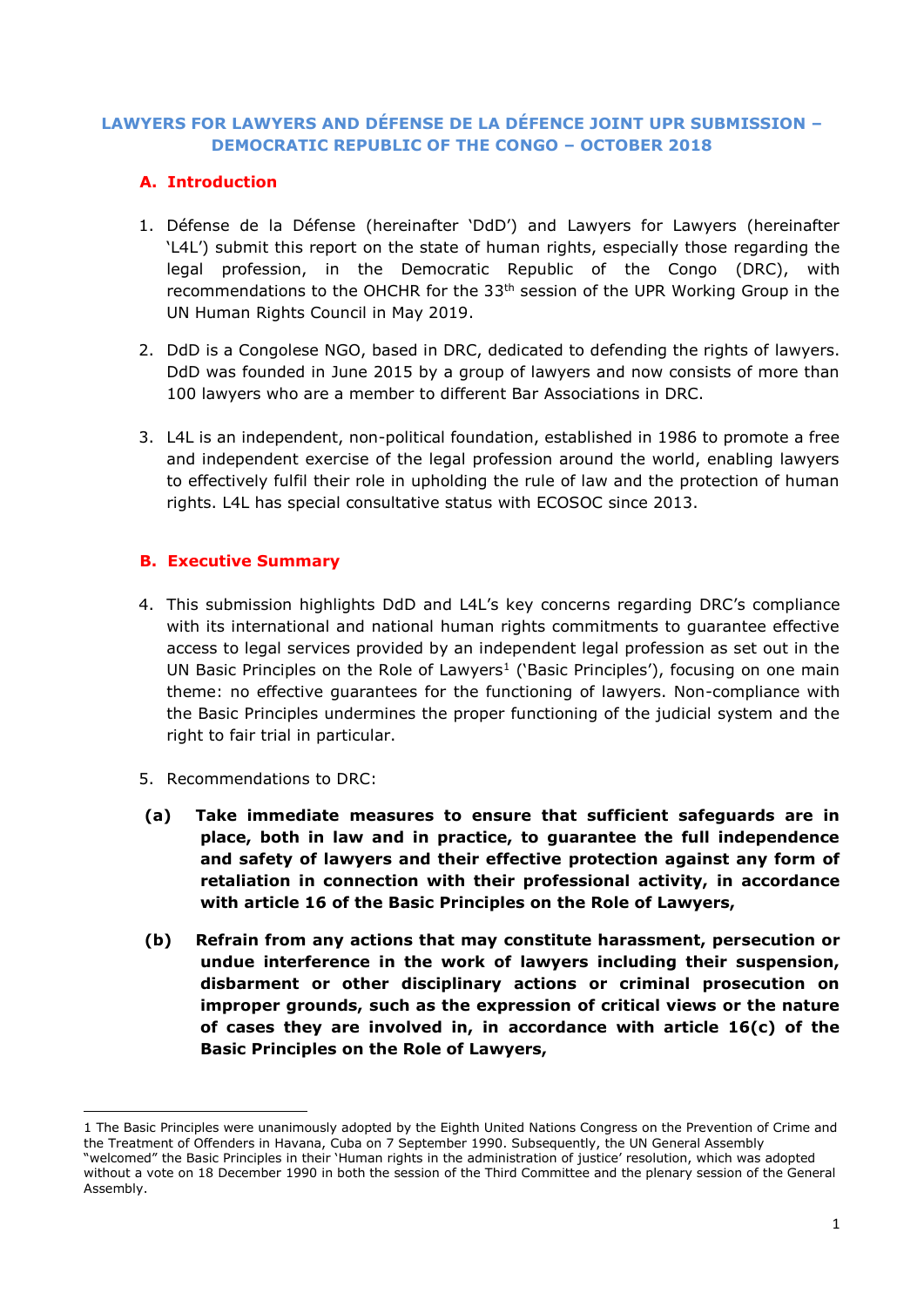# **LAWYERS FOR LAWYERS AND DÉFENSE DE LA DÉFENCE JOINT UPR SUBMISSION – DEMOCRATIC REPUBLIC OF THE CONGO – OCTOBER 2018**

# **A. Introduction**

- 1. Défense de la Défense (hereinafter 'DdD') and Lawyers for Lawyers (hereinafter 'L4L') submit this report on the state of human rights, especially those regarding the legal profession, in the Democratic Republic of the Congo (DRC), with recommendations to the OHCHR for the 33<sup>th</sup> session of the UPR Working Group in the UN Human Rights Council in May 2019.
- 2. DdD is a Congolese NGO, based in DRC, dedicated to defending the rights of lawyers. DdD was founded in June 2015 by a group of lawyers and now consists of more than 100 lawyers who are a member to different Bar Associations in DRC.
- 3. L4L is an independent, non-political foundation, established in 1986 to promote a free and independent exercise of the legal profession around the world, enabling lawyers to effectively fulfil their role in upholding the rule of law and the protection of human rights. L4L has special consultative status with ECOSOC since 2013.

# **B. Executive Summary**

- 4. This submission highlights DdD and L4L's key concerns regarding DRC's compliance with its international and national human rights commitments to guarantee effective access to legal services provided by an independent legal profession as set out in the UN Basic Principles on the Role of Lawyers<sup>1</sup> ('Basic Principles'), focusing on one main theme: no effective guarantees for the functioning of lawyers. Non-compliance with the Basic Principles undermines the proper functioning of the judicial system and the right to fair trial in particular.
- 5. Recommendations to DRC:

**.** 

- **(a) Take immediate measures to ensure that sufficient safeguards are in place, both in law and in practice, to guarantee the full independence and safety of lawyers and their effective protection against any form of retaliation in connection with their professional activity, in accordance with article 16 of the Basic Principles on the Role of Lawyers,**
- **(b) Refrain from any actions that may constitute harassment, persecution or undue interference in the work of lawyers including their suspension, disbarment or other disciplinary actions or criminal prosecution on improper grounds, such as the expression of critical views or the nature of cases they are involved in, in accordance with article 16(c) of the Basic Principles on the Role of Lawyers,**

<sup>1</sup> The Basic Principles were unanimously adopted by the Eighth United Nations Congress on the Prevention of Crime and the Treatment of Offenders in Havana, Cuba on 7 September 1990. Subsequently, the UN General Assembly "welcomed" the Basic Principles in their 'Human rights in the administration of justice' resolution, which was adopted

without a vote on 18 December 1990 in both the session of the Third Committee and the plenary session of the General Assembly.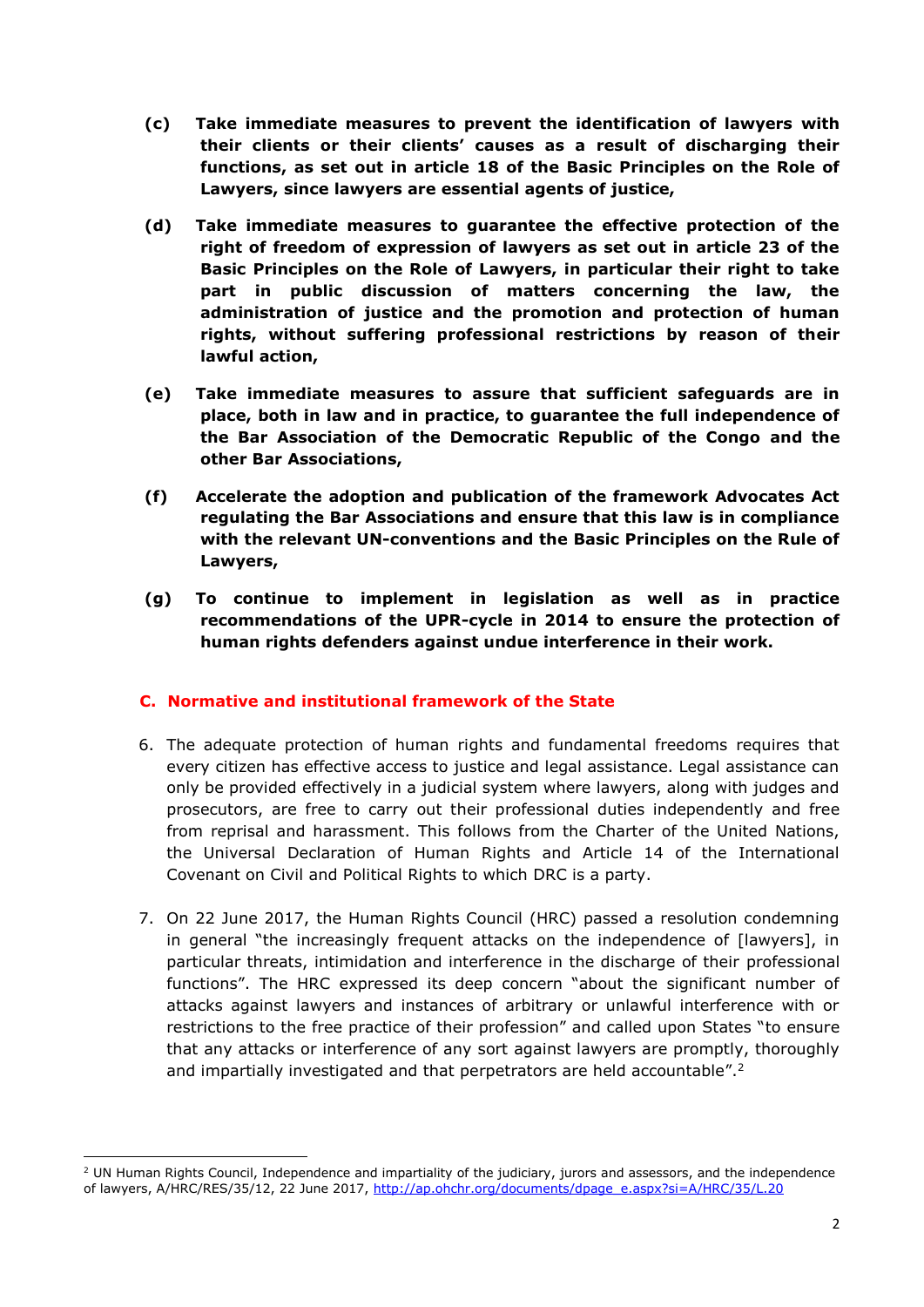- **(c) Take immediate measures to prevent the identification of lawyers with their clients or their clients' causes as a result of discharging their functions, as set out in article 18 of the Basic Principles on the Role of Lawyers, since lawyers are essential agents of justice,**
- **(d) Take immediate measures to guarantee the effective protection of the right of freedom of expression of lawyers as set out in article 23 of the Basic Principles on the Role of Lawyers, in particular their right to take part in public discussion of matters concerning the law, the administration of justice and the promotion and protection of human rights, without suffering professional restrictions by reason of their lawful action,**
- **(e) Take immediate measures to assure that sufficient safeguards are in place, both in law and in practice, to guarantee the full independence of the Bar Association of the Democratic Republic of the Congo and the other Bar Associations,**
- **(f) Accelerate the adoption and publication of the framework Advocates Act regulating the Bar Associations and ensure that this law is in compliance with the relevant UN-conventions and the Basic Principles on the Rule of Lawyers,**
- **(g) To continue to implement in legislation as well as in practice recommendations of the UPR-cycle in 2014 to ensure the protection of human rights defenders against undue interference in their work.**

# **C. Normative and institutional framework of the State**

- 6. The adequate protection of human rights and fundamental freedoms requires that every citizen has effective access to justice and legal assistance. Legal assistance can only be provided effectively in a judicial system where lawyers, along with judges and prosecutors, are free to carry out their professional duties independently and free from reprisal and harassment. This follows from the Charter of the United Nations, the Universal Declaration of Human Rights and Article 14 of the International Covenant on Civil and Political Rights to which DRC is a party.
- 7. On 22 June 2017, the Human Rights Council (HRC) passed a resolution condemning in general "the increasingly frequent attacks on the independence of [lawyers], in particular threats, intimidation and interference in the discharge of their professional functions". The HRC expressed its deep concern "about the significant number of attacks against lawyers and instances of arbitrary or unlawful interference with or restrictions to the free practice of their profession" and called upon States "to ensure that any attacks or interference of any sort against lawyers are promptly, thoroughly and impartially investigated and that perpetrators are held accountable".<sup>2</sup>

**.** 

 $<sup>2</sup>$  UN Human Rights Council, Independence and impartiality of the judiciary, jurors and assessors, and the independence</sup> of lawyers, A/HRC/RES/35/12, 22 June 2017, [http://ap.ohchr.org/documents/dpage\\_e.aspx?si=A/HRC/35/L.20](http://ap.ohchr.org/documents/dpage_e.aspx?si=A/HRC/35/L.20)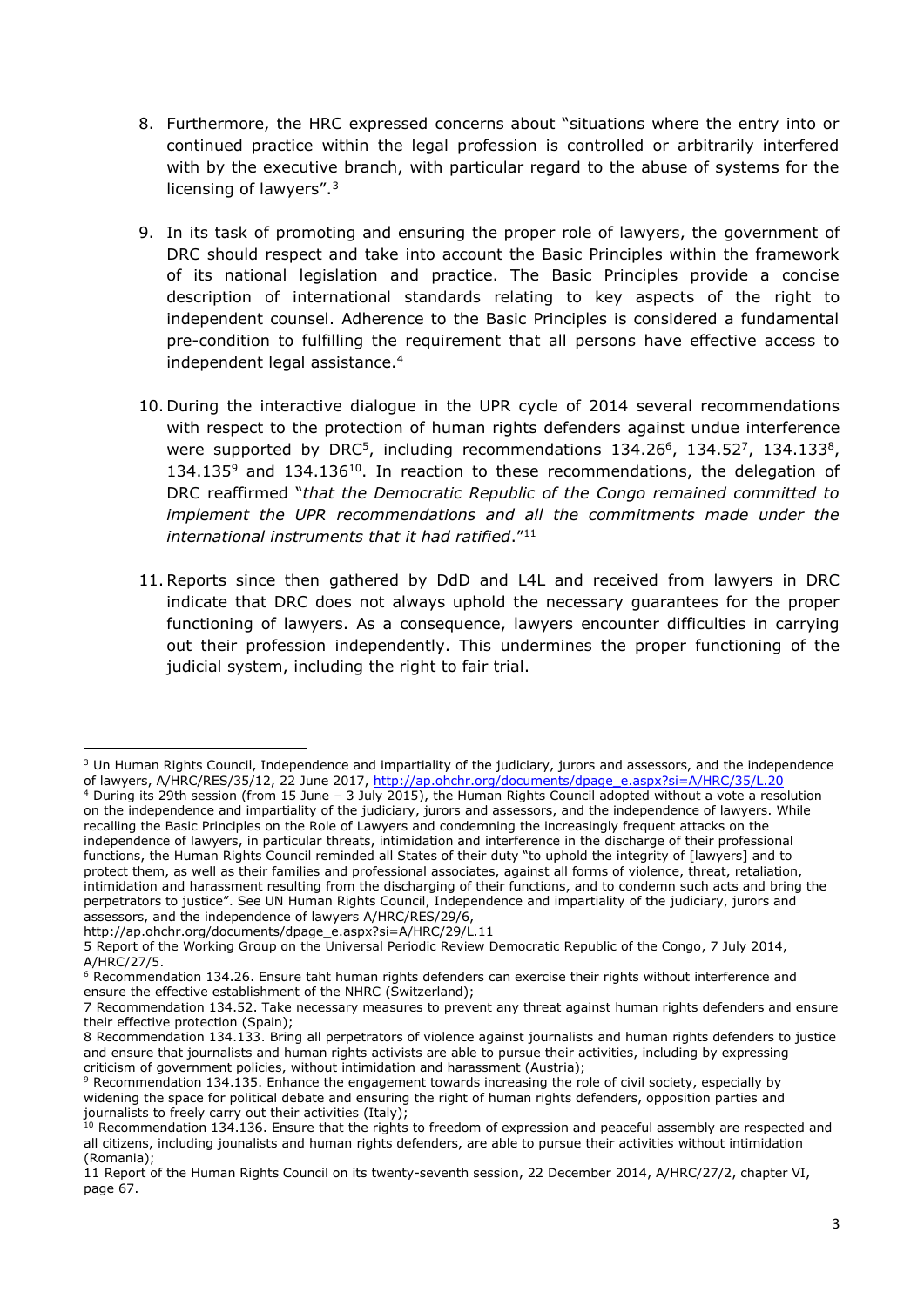- 8. Furthermore, the HRC expressed concerns about "situations where the entry into or continued practice within the legal profession is controlled or arbitrarily interfered with by the executive branch, with particular regard to the abuse of systems for the licensing of lawyers".<sup>3</sup>
- 9. In its task of promoting and ensuring the proper role of lawyers, the government of DRC should respect and take into account the Basic Principles within the framework of its national legislation and practice. The Basic Principles provide a concise description of international standards relating to key aspects of the right to independent counsel. Adherence to the Basic Principles is considered a fundamental pre-condition to fulfilling the requirement that all persons have effective access to independent legal assistance.<sup>4</sup>
- 10. During the interactive dialogue in the UPR cycle of 2014 several recommendations with respect to the protection of human rights defenders against undue interference were supported by DRC<sup>5</sup>, including recommendations  $134.26^6$ ,  $134.52^7$ ,  $134.133^8$ ,  $134.135<sup>9</sup>$  and  $134.136<sup>10</sup>$ . In reaction to these recommendations, the delegation of DRC reaffirmed "*that the Democratic Republic of the Congo remained committed to implement the UPR recommendations and all the commitments made under the international instruments that it had ratified*." 11
- 11.Reports since then gathered by DdD and L4L and received from lawyers in DRC indicate that DRC does not always uphold the necessary guarantees for the proper functioning of lawyers. As a consequence, lawyers encounter difficulties in carrying out their profession independently. This undermines the proper functioning of the judicial system, including the right to fair trial.

<sup>1</sup> <sup>3</sup> Un Human Rights Council, Independence and impartiality of the judiciary, jurors and assessors, and the independence of lawyers, A/HRC/RES/35/12, 22 June 2017, [http://ap.ohchr.org/documents/dpage\\_e.aspx?si=A/HRC/35/L.20](http://ap.ohchr.org/documents/dpage_e.aspx?si=A/HRC/35/L.20)

<sup>4</sup> During its 29th session (from 15 June – 3 July 2015), the Human Rights Council adopted without a vote a resolution on the independence and impartiality of the judiciary, jurors and assessors, and the independence of lawyers. While recalling the Basic Principles on the Role of Lawyers and condemning the increasingly frequent attacks on the independence of lawyers, in particular threats, intimidation and interference in the discharge of their professional functions, the Human Rights Council reminded all States of their duty "to uphold the integrity of [lawyers] and to protect them, as well as their families and professional associates, against all forms of violence, threat, retaliation, intimidation and harassment resulting from the discharging of their functions, and to condemn such acts and bring the perpetrators to justice". See UN Human Rights Council, Independence and impartiality of the judiciary, jurors and assessors, and the independence of lawyers A/HRC/RES/29/6,

[http://ap.ohchr.org/documents/dpage\\_e.aspx?si=A/HRC/29/L.11](http://ap.ohchr.org/documents/dpage_e.aspx?si=A/HRC/29/L.11)

<sup>5</sup> Report of the Working Group on the Universal Periodic Review Democratic Republic of the Congo, 7 July 2014, A/HRC/27/5.

<sup>6</sup> Recommendation 134.26. Ensure taht human rights defenders can exercise their rights without interference and ensure the effective establishment of the NHRC (Switzerland);

<sup>7</sup> Recommendation 134.52. Take necessary measures to prevent any threat against human rights defenders and ensure their effective protection (Spain);

<sup>8</sup> Recommendation 134.133. Bring all perpetrators of violence against journalists and human rights defenders to justice and ensure that journalists and human rights activists are able to pursue their activities, including by expressing criticism of government policies, without intimidation and harassment (Austria);

<sup>9</sup> Recommendation 134.135. Enhance the engagement towards increasing the role of civil society, especially by widening the space for political debate and ensuring the right of human rights defenders, opposition parties and journalists to freely carry out their activities (Italy);

<sup>&</sup>lt;sup>10</sup> Recommendation 134.136. Ensure that the rights to freedom of expression and peaceful assembly are respected and all citizens, including jounalists and human rights defenders, are able to pursue their activities without intimidation (Romania);

<sup>11</sup> Report of the Human Rights Council on its twenty-seventh session, 22 December 2014, A/HRC/27/2, chapter VI, page 67.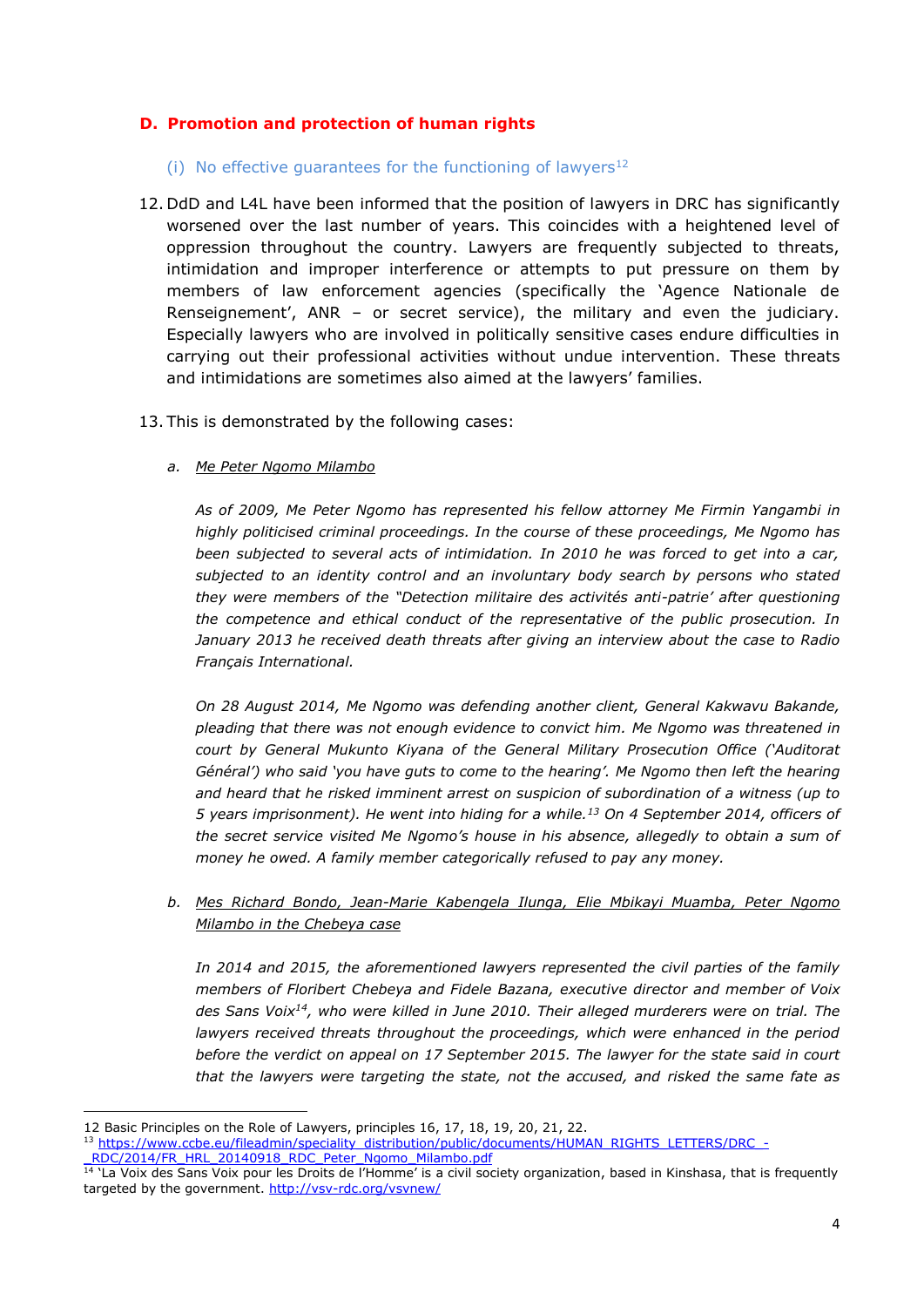# **D. Promotion and protection of human rights**

- (i) No effective quarantees for the functioning of lawyers $12$
- 12. DdD and L4L have been informed that the position of lawyers in DRC has significantly worsened over the last number of years. This coincides with a heightened level of oppression throughout the country. Lawyers are frequently subjected to threats, intimidation and improper interference or attempts to put pressure on them by members of law enforcement agencies (specifically the 'Agence Nationale de Renseignement', ANR – or secret service), the military and even the judiciary. Especially lawyers who are involved in politically sensitive cases endure difficulties in carrying out their professional activities without undue intervention. These threats and intimidations are sometimes also aimed at the lawyers' families.
- 13. This is demonstrated by the following cases:
	- *a. Me Peter Ngomo Milambo*

*As of 2009, Me Peter Ngomo has represented his fellow attorney Me Firmin Yangambi in highly politicised criminal proceedings. In the course of these proceedings, Me Ngomo has been subjected to several acts of intimidation. In 2010 he was forced to get into a car, subjected to an identity control and an involuntary body search by persons who stated they were members of the "Detection militaire des activités anti-patrie' after questioning the competence and ethical conduct of the representative of the public prosecution. In January 2013 he received death threats after giving an interview about the case to Radio Français International.* 

*On 28 August 2014, Me Ngomo was defending another client, General Kakwavu Bakande, pleading that there was not enough evidence to convict him. Me Ngomo was threatened in court by General Mukunto Kiyana of the General Military Prosecution Office ('Auditorat Général') who said 'you have guts to come to the hearing'. Me Ngomo then left the hearing and heard that he risked imminent arrest on suspicion of subordination of a witness (up to 5 years imprisonment). He went into hiding for a while.<sup>13</sup> On 4 September 2014, officers of the secret service visited Me Ngomo's house in his absence, allegedly to obtain a sum of money he owed. A family member categorically refused to pay any money.* 

*b. Mes Richard Bondo, Jean-Marie Kabengela Ilunga, Elie Mbikayi Muamba, Peter Ngomo Milambo in the Chebeya case*

*In 2014 and 2015, the aforementioned lawyers represented the civil parties of the family members of Floribert Chebeya and Fidele Bazana, executive director and member of Voix des Sans Voix<sup>14</sup>, who were killed in June 2010. Their alleged murderers were on trial. The lawyers received threats throughout the proceedings, which were enhanced in the period before the verdict on appeal on 17 September 2015. The lawyer for the state said in court that the lawyers were targeting the state, not the accused, and risked the same fate as* 

**.** 

<sup>12</sup> Basic Principles on the Role of Lawyers, principles 16, 17, 18, 19, 20, 21, 22.

<sup>13</sup> [https://www.ccbe.eu/fileadmin/speciality\\_distribution/public/documents/HUMAN\\_RIGHTS\\_LETTERS/DRC\\_-](https://www.ccbe.eu/fileadmin/speciality_distribution/public/documents/HUMAN_RIGHTS_LETTERS/DRC_-_RDC/2014/FR_HRL_20140918_RDC_Peter_Ngomo_Milambo.pdf) RDC/2014/FR\_HRL\_20140918\_RDC\_Peter\_Ngomo\_Milambo.pdf

<sup>&</sup>lt;sup>14</sup> 'La Voix des Sans Voix pour les Droits de l'Homme' is a civil society organization, based in Kinshasa, that is frequently targeted by the government.<http://vsv-rdc.org/vsvnew/>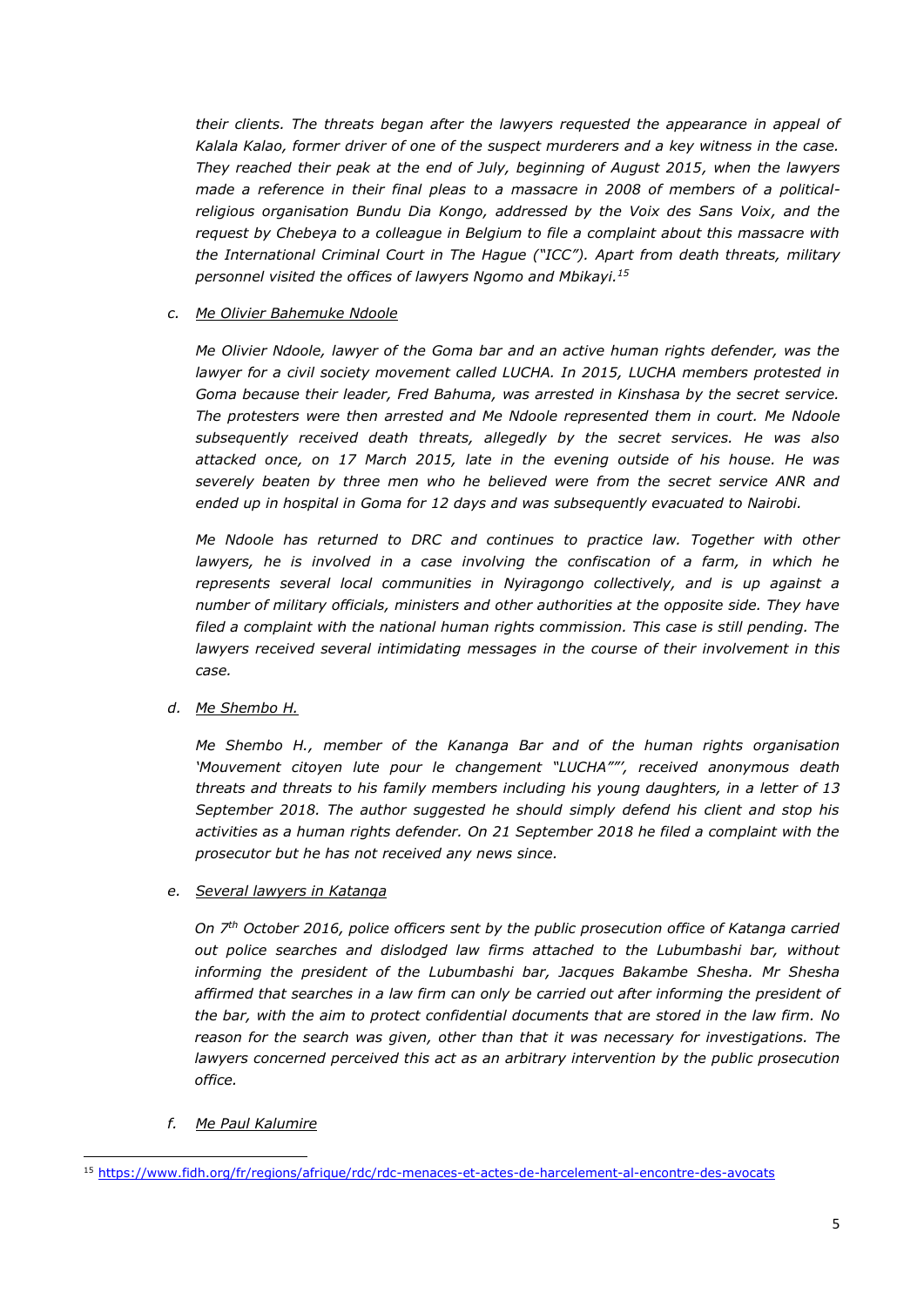*their clients. The threats began after the lawyers requested the appearance in appeal of Kalala Kalao, former driver of one of the suspect murderers and a key witness in the case. They reached their peak at the end of July, beginning of August 2015, when the lawyers made a reference in their final pleas to a massacre in 2008 of members of a politicalreligious organisation Bundu Dia Kongo, addressed by the Voix des Sans Voix, and the request by Chebeya to a colleague in Belgium to file a complaint about this massacre with the International Criminal Court in The Hague ("ICC"). Apart from death threats, military personnel visited the offices of lawyers Ngomo and Mbikayi. 15*

## *c. Me Olivier Bahemuke Ndoole*

*Me Olivier Ndoole, lawyer of the Goma bar and an active human rights defender, was the lawyer for a civil society movement called LUCHA. In 2015, LUCHA members protested in Goma because their leader, Fred Bahuma, was arrested in Kinshasa by the secret service. The protesters were then arrested and Me Ndoole represented them in court. Me Ndoole subsequently received death threats, allegedly by the secret services. He was also attacked once, on 17 March 2015, late in the evening outside of his house. He was severely beaten by three men who he believed were from the secret service ANR and ended up in hospital in Goma for 12 days and was subsequently evacuated to Nairobi.*

*Me Ndoole has returned to DRC and continues to practice law. Together with other*  lawyers, he is involved in a case involving the confiscation of a farm, in which he *represents several local communities in Nyiragongo collectively, and is up against a number of military officials, ministers and other authorities at the opposite side. They have filed a complaint with the national human rights commission. This case is still pending. The lawyers received several intimidating messages in the course of their involvement in this case.* 

## *d. Me Shembo H.*

*Me Shembo H., member of the Kananga Bar and of the human rights organisation 'Mouvement citoyen lute pour le changement "LUCHA""', received anonymous death threats and threats to his family members including his young daughters, in a letter of 13 September 2018. The author suggested he should simply defend his client and stop his activities as a human rights defender. On 21 September 2018 he filed a complaint with the prosecutor but he has not received any news since.* 

## *e. Several lawyers in Katanga*

*On 7th October 2016, police officers sent by the public prosecution office of Katanga carried out police searches and dislodged law firms attached to the Lubumbashi bar, without informing the president of the Lubumbashi bar, Jacques Bakambe Shesha. Mr Shesha*  affirmed that searches in a law firm can only be carried out after informing the president of *the bar, with the aim to protect confidential documents that are stored in the law firm. No reason for the search was given, other than that it was necessary for investigations. The lawyers concerned perceived this act as an arbitrary intervention by the public prosecution office.* 

## *f. Me Paul Kalumire*

**<sup>.</sup>** <sup>15</sup> <https://www.fidh.org/fr/regions/afrique/rdc/rdc-menaces-et-actes-de-harcelement-al-encontre-des-avocats>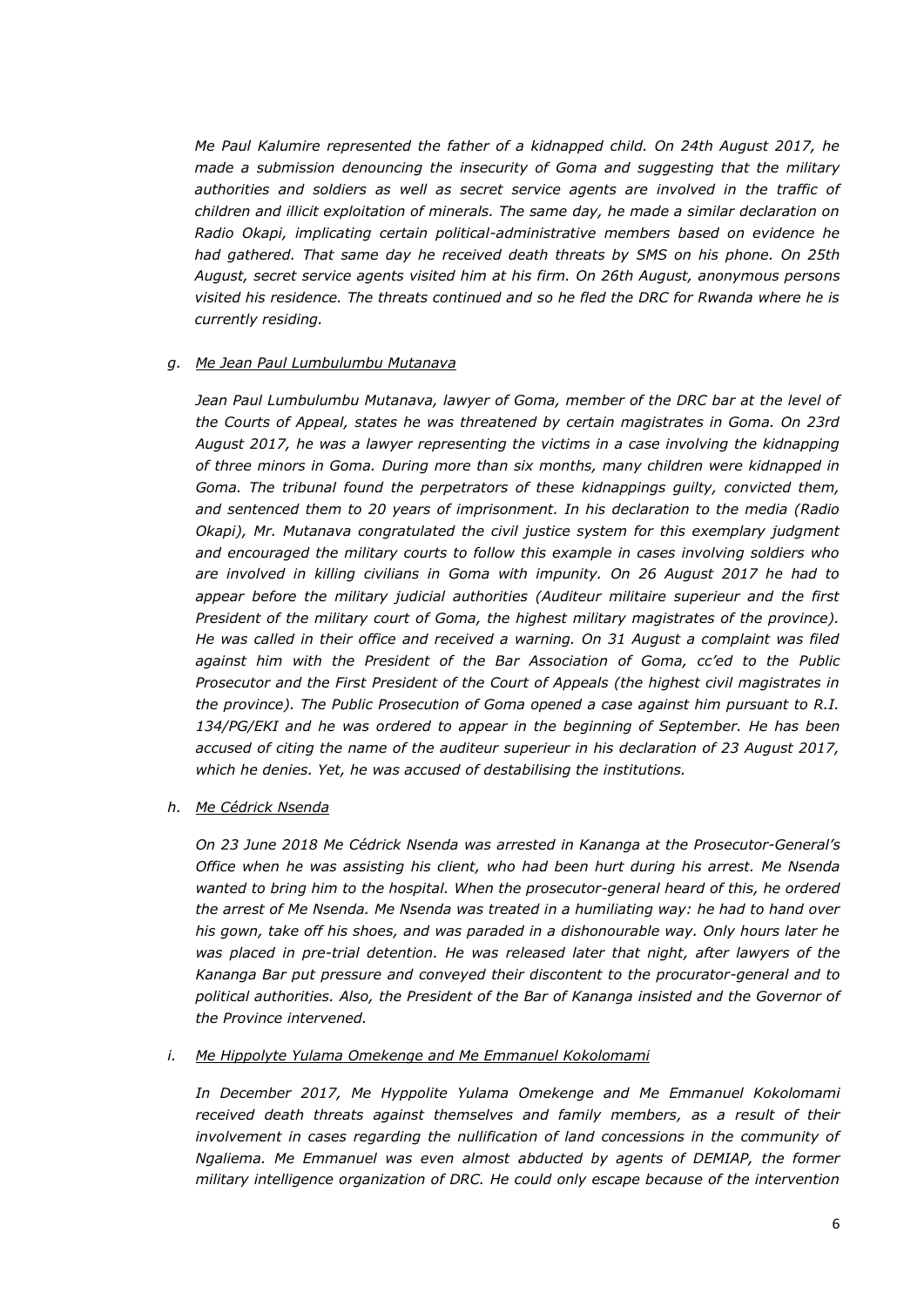*Me Paul Kalumire represented the father of a kidnapped child. On 24th August 2017, he made a submission denouncing the insecurity of Goma and suggesting that the military authorities and soldiers as well as secret service agents are involved in the traffic of children and illicit exploitation of minerals. The same day, he made a similar declaration on Radio Okapi, implicating certain political-administrative members based on evidence he had gathered. That same day he received death threats by SMS on his phone. On 25th August, secret service agents visited him at his firm. On 26th August, anonymous persons visited his residence. The threats continued and so he fled the DRC for Rwanda where he is currently residing.*

#### *g. Me Jean Paul Lumbulumbu Mutanava*

*Jean Paul Lumbulumbu Mutanava, lawyer of Goma, member of the DRC bar at the level of the Courts of Appeal, states he was threatened by certain magistrates in Goma. On 23rd August 2017, he was a lawyer representing the victims in a case involving the kidnapping of three minors in Goma. During more than six months, many children were kidnapped in Goma. The tribunal found the perpetrators of these kidnappings guilty, convicted them, and sentenced them to 20 years of imprisonment. In his declaration to the media (Radio Okapi), Mr. Mutanava congratulated the civil justice system for this exemplary judgment and encouraged the military courts to follow this example in cases involving soldiers who are involved in killing civilians in Goma with impunity. On 26 August 2017 he had to appear before the military judicial authorities (Auditeur militaire superieur and the first President of the military court of Goma, the highest military magistrates of the province). He was called in their office and received a warning. On 31 August a complaint was filed against him with the President of the Bar Association of Goma, cc'ed to the Public Prosecutor and the First President of the Court of Appeals (the highest civil magistrates in the province). The Public Prosecution of Goma opened a case against him pursuant to R.I. 134/PG/EKI and he was ordered to appear in the beginning of September. He has been accused of citing the name of the auditeur superieur in his declaration of 23 August 2017, which he denies. Yet, he was accused of destabilising the institutions.* 

#### *h. Me Cédrick Nsenda*

*On 23 June 2018 Me Cédrick Nsenda was arrested in Kananga at the Prosecutor-General's Office when he was assisting his client, who had been hurt during his arrest. Me Nsenda wanted to bring him to the hospital. When the prosecutor-general heard of this, he ordered the arrest of Me Nsenda. Me Nsenda was treated in a humiliating way: he had to hand over his gown, take off his shoes, and was paraded in a dishonourable way. Only hours later he was placed in pre-trial detention. He was released later that night, after lawyers of the Kananga Bar put pressure and conveyed their discontent to the procurator-general and to political authorities. Also, the President of the Bar of Kananga insisted and the Governor of the Province intervened.*

#### *i. Me Hippolyte Yulama Omekenge and Me Emmanuel Kokolomami*

In December 2017, Me Hyppolite Yulama Omekenge and Me Emmanuel Kokolomami *received death threats against themselves and family members, as a result of their involvement in cases regarding the nullification of land concessions in the community of Ngaliema. Me Emmanuel was even almost abducted by agents of DEMIAP, the former military intelligence organization of DRC. He could only escape because of the intervention*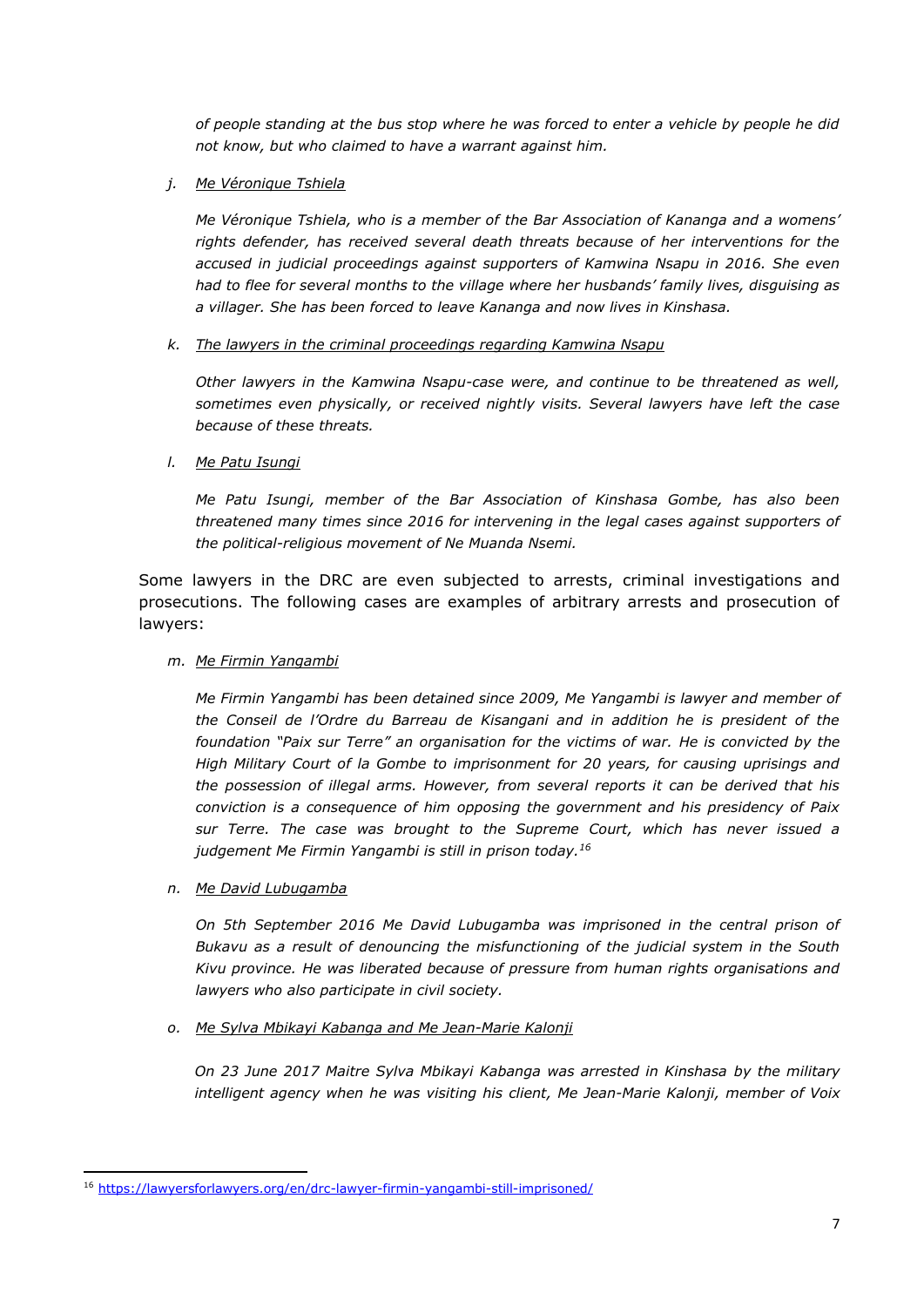*of people standing at the bus stop where he was forced to enter a vehicle by people he did not know, but who claimed to have a warrant against him.* 

*j. Me Véronique Tshiela*

*Me Véronique Tshiela, who is a member of the Bar Association of Kananga and a womens' rights defender, has received several death threats because of her interventions for the accused in judicial proceedings against supporters of Kamwina Nsapu in 2016. She even had to flee for several months to the village where her husbands' family lives, disguising as a villager. She has been forced to leave Kananga and now lives in Kinshasa.* 

*k. The lawyers in the criminal proceedings regarding Kamwina Nsapu*

*Other lawyers in the Kamwina Nsapu-case were, and continue to be threatened as well, sometimes even physically, or received nightly visits. Several lawyers have left the case because of these threats.* 

*l. Me Patu Isungi*

*Me Patu Isungi, member of the Bar Association of Kinshasa Gombe, has also been threatened many times since 2016 for intervening in the legal cases against supporters of the political-religious movement of Ne Muanda Nsemi.* 

Some lawyers in the DRC are even subjected to arrests, criminal investigations and prosecutions. The following cases are examples of arbitrary arrests and prosecution of lawyers:

*m. Me Firmin Yangambi* 

*Me Firmin Yangambi has been detained since 2009, Me Yangambi is lawyer and member of the Conseil de l'Ordre du Barreau de Kisangani and in addition he is president of the foundation "Paix sur Terre" an organisation for the victims of war. He is convicted by the High Military Court of la Gombe to imprisonment for 20 years, for causing uprisings and the possession of illegal arms. However, from several reports it can be derived that his conviction is a consequence of him opposing the government and his presidency of Paix sur Terre. The case was brought to the Supreme Court, which has never issued a judgement Me Firmin Yangambi is still in prison today.<sup>16</sup>*

*n. Me David Lubugamba*

**.** 

*On 5th September 2016 Me David Lubugamba was imprisoned in the central prison of Bukavu as a result of denouncing the misfunctioning of the judicial system in the South Kivu province. He was liberated because of pressure from human rights organisations and lawyers who also participate in civil society.*

*o. Me Sylva Mbikayi Kabanga and Me Jean-Marie Kalonji*

*On 23 June 2017 Maitre Sylva Mbikayi Kabanga was arrested in Kinshasa by the military intelligent agency when he was visiting his client, Me Jean-Marie Kalonji, member of Voix* 

<sup>16</sup> <https://lawyersforlawyers.org/en/drc-lawyer-firmin-yangambi-still-imprisoned/>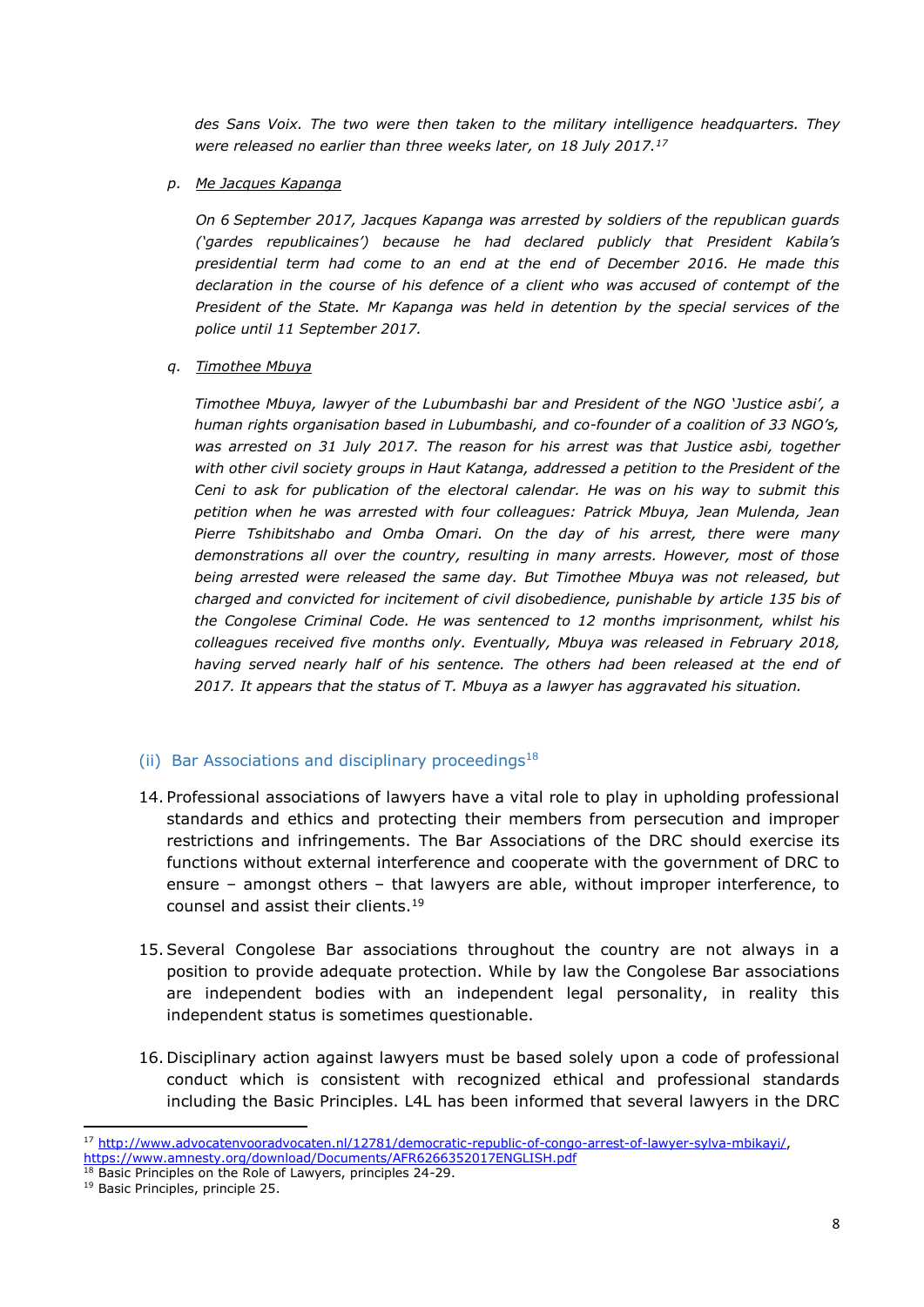*des Sans Voix. The two were then taken to the military intelligence headquarters. They were released no earlier than three weeks later, on 18 July 2017.<sup>17</sup>*

*p. Me Jacques Kapanga*

*On 6 September 2017, Jacques Kapanga was arrested by soldiers of the republican guards ('gardes republicaines') because he had declared publicly that President Kabila's presidential term had come to an end at the end of December 2016. He made this declaration in the course of his defence of a client who was accused of contempt of the President of the State. Mr Kapanga was held in detention by the special services of the police until 11 September 2017.*

*q. Timothee Mbuya*

*Timothee Mbuya, lawyer of the Lubumbashi bar and President of the NGO 'Justice asbi', a human rights organisation based in Lubumbashi, and co-founder of a coalition of 33 NGO's, was arrested on 31 July 2017. The reason for his arrest was that Justice asbi, together with other civil society groups in Haut Katanga, addressed a petition to the President of the Ceni to ask for publication of the electoral calendar. He was on his way to submit this petition when he was arrested with four colleagues: Patrick Mbuya, Jean Mulenda, Jean Pierre Tshibitshabo and Omba Omari. On the day of his arrest, there were many demonstrations all over the country, resulting in many arrests. However, most of those being arrested were released the same day. But Timothee Mbuya was not released, but charged and convicted for incitement of civil disobedience, punishable by article 135 bis of the Congolese Criminal Code. He was sentenced to 12 months imprisonment, whilst his colleagues received five months only. Eventually, Mbuya was released in February 2018,*  having served nearly half of his sentence. The others had been released at the end of *2017. It appears that the status of T. Mbuya as a lawyer has aggravated his situation.* 

## (ii) Bar Associations and disciplinary proceedings<sup>18</sup>

- 14. Professional associations of lawyers have a vital role to play in upholding professional standards and ethics and protecting their members from persecution and improper restrictions and infringements. The Bar Associations of the DRC should exercise its functions without external interference and cooperate with the government of DRC to ensure – amongst others – that lawyers are able, without improper interference, to counsel and assist their clients.<sup>19</sup>
- 15.Several Congolese Bar associations throughout the country are not always in a position to provide adequate protection. While by law the Congolese Bar associations are independent bodies with an independent legal personality, in reality this independent status is sometimes questionable.
- 16. Disciplinary action against lawyers must be based solely upon a code of professional conduct which is consistent with recognized ethical and professional standards including the Basic Principles. L4L has been informed that several lawyers in the DRC

**<sup>.</sup>** <sup>17</sup> [http://www.advocatenvooradvocaten.nl/12781/democratic-republic-of-congo-arrest-of-lawyer-sylva-mbikayi/,](http://www.advocatenvooradvocaten.nl/12781/democratic-republic-of-congo-arrest-of-lawyer-sylva-mbikayi/) <https://www.amnesty.org/download/Documents/AFR6266352017ENGLISH.pdf>

<sup>&</sup>lt;sup>18</sup> Basic Principles on the Role of Lawyers, principles 24-29.

<sup>19</sup> Basic Principles, principle 25.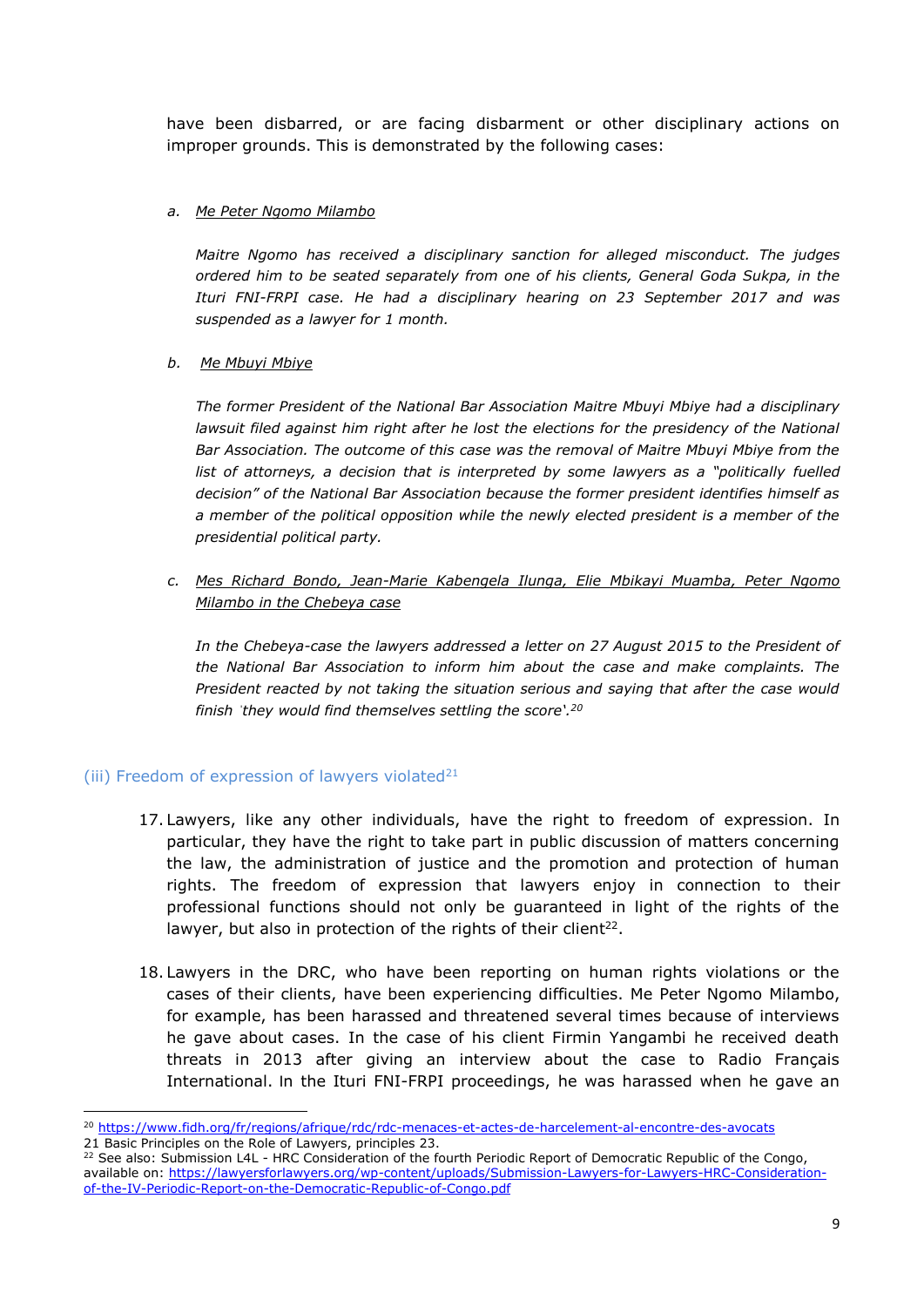have been disbarred, or are facing disbarment or other disciplinary actions on improper grounds. This is demonstrated by the following cases:

## *a. Me Peter Ngomo Milambo*

*Maitre Ngomo has received a disciplinary sanction for alleged misconduct. The judges ordered him to be seated separately from one of his clients, General Goda Sukpa, in the Ituri FNI-FRPI case. He had a disciplinary hearing on 23 September 2017 and was suspended as a lawyer for 1 month.* 

## *b. Me Mbuyi Mbiye*

*The former President of the National Bar Association Maitre Mbuyi Mbiye had a disciplinary lawsuit filed against him right after he lost the elections for the presidency of the National Bar Association. The outcome of this case was the removal of Maitre Mbuyi Mbiye from the list of attorneys, a decision that is interpreted by some lawyers as a "politically fuelled decision" of the National Bar Association because the former president identifies himself as a member of the political opposition while the newly elected president is a member of the presidential political party.*

*c. Mes Richard Bondo, Jean-Marie Kabengela Ilunga, Elie Mbikayi Muamba, Peter Ngomo Milambo in the Chebeya case*

*In the Chebeya-case the lawyers addressed a letter on 27 August 2015 to the President of the National Bar Association to inform him about the case and make complaints. The President reacted by not taking the situation serious and saying that after the case would finish ˈthey would find themselves settling the score'. 20*

# (iii) Freedom of expression of lawyers violated $21$

- 17. Lawyers, like any other individuals, have the right to freedom of expression. In particular, they have the right to take part in public discussion of matters concerning the law, the administration of justice and the promotion and protection of human rights. The freedom of expression that lawyers enjoy in connection to their professional functions should not only be guaranteed in light of the rights of the lawyer, but also in protection of the rights of their client<sup>22</sup>.
- 18. Lawyers in the DRC, who have been reporting on human rights violations or the cases of their clients, have been experiencing difficulties. Me Peter Ngomo Milambo, for example, has been harassed and threatened several times because of interviews he gave about cases. In the case of his client Firmin Yangambi he received death threats in 2013 after giving an interview about the case to Radio Français International. In the Ituri FNI-FRPI proceedings, he was harassed when he gave an

**<sup>.</sup>** <sup>20</sup> <https://www.fidh.org/fr/regions/afrique/rdc/rdc-menaces-et-actes-de-harcelement-al-encontre-des-avocats>

<sup>21</sup> Basic Principles on the Role of Lawyers, principles 23.

<sup>&</sup>lt;sup>22</sup> See also: Submission L4L - HRC Consideration of the fourth Periodic Report of Democratic Republic of the Congo, available on: [https://lawyersforlawyers.org/wp-content/uploads/Submission-Lawyers-for-Lawyers-HRC-Consideration](https://lawyersforlawyers.org/wp-content/uploads/Submission-Lawyers-for-Lawyers-HRC-Consideration-of-the-IV-Periodic-Report-on-the-Democratic-Republic-of-Congo.pdf)[of-the-IV-Periodic-Report-on-the-Democratic-Republic-of-Congo.pdf](https://lawyersforlawyers.org/wp-content/uploads/Submission-Lawyers-for-Lawyers-HRC-Consideration-of-the-IV-Periodic-Report-on-the-Democratic-Republic-of-Congo.pdf)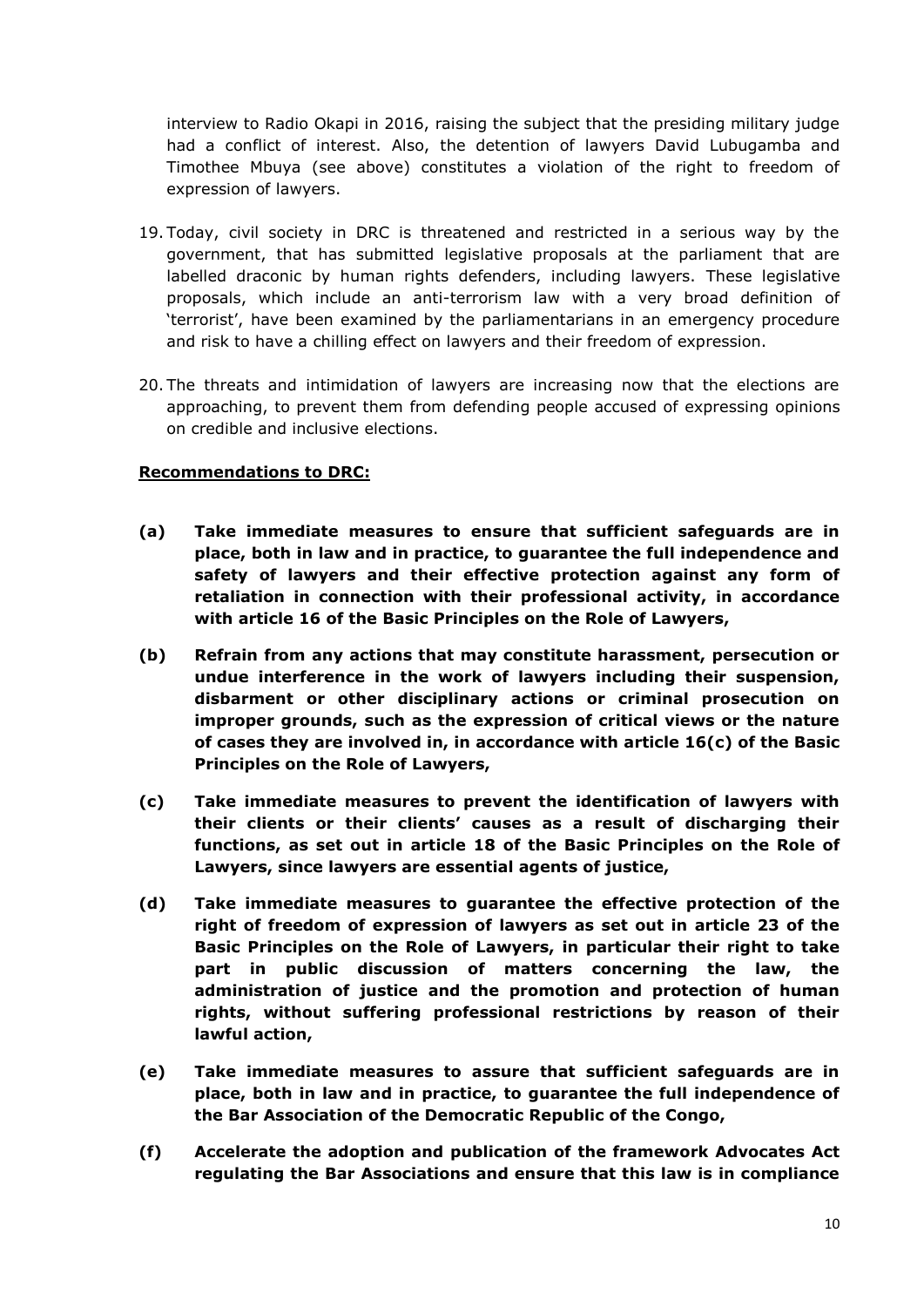interview to Radio Okapi in 2016, raising the subject that the presiding military judge had a conflict of interest. Also, the detention of lawyers David Lubugamba and Timothee Mbuya (see above) constitutes a violation of the right to freedom of expression of lawyers.

- 19. Today, civil society in DRC is threatened and restricted in a serious way by the government, that has submitted legislative proposals at the parliament that are labelled draconic by human rights defenders, including lawyers. These legislative proposals, which include an anti-terrorism law with a very broad definition of 'terrorist', have been examined by the parliamentarians in an emergency procedure and risk to have a chilling effect on lawyers and their freedom of expression.
- 20. The threats and intimidation of lawyers are increasing now that the elections are approaching, to prevent them from defending people accused of expressing opinions on credible and inclusive elections.

# **Recommendations to DRC:**

- **(a) Take immediate measures to ensure that sufficient safeguards are in place, both in law and in practice, to guarantee the full independence and safety of lawyers and their effective protection against any form of retaliation in connection with their professional activity, in accordance with article 16 of the Basic Principles on the Role of Lawyers,**
- **(b) Refrain from any actions that may constitute harassment, persecution or undue interference in the work of lawyers including their suspension, disbarment or other disciplinary actions or criminal prosecution on improper grounds, such as the expression of critical views or the nature of cases they are involved in, in accordance with article 16(c) of the Basic Principles on the Role of Lawyers,**
- **(c) Take immediate measures to prevent the identification of lawyers with their clients or their clients' causes as a result of discharging their functions, as set out in article 18 of the Basic Principles on the Role of Lawyers, since lawyers are essential agents of justice,**
- **(d) Take immediate measures to guarantee the effective protection of the right of freedom of expression of lawyers as set out in article 23 of the Basic Principles on the Role of Lawyers, in particular their right to take part in public discussion of matters concerning the law, the administration of justice and the promotion and protection of human rights, without suffering professional restrictions by reason of their lawful action,**
- **(e) Take immediate measures to assure that sufficient safeguards are in place, both in law and in practice, to guarantee the full independence of the Bar Association of the Democratic Republic of the Congo,**
- **(f) Accelerate the adoption and publication of the framework Advocates Act regulating the Bar Associations and ensure that this law is in compliance**